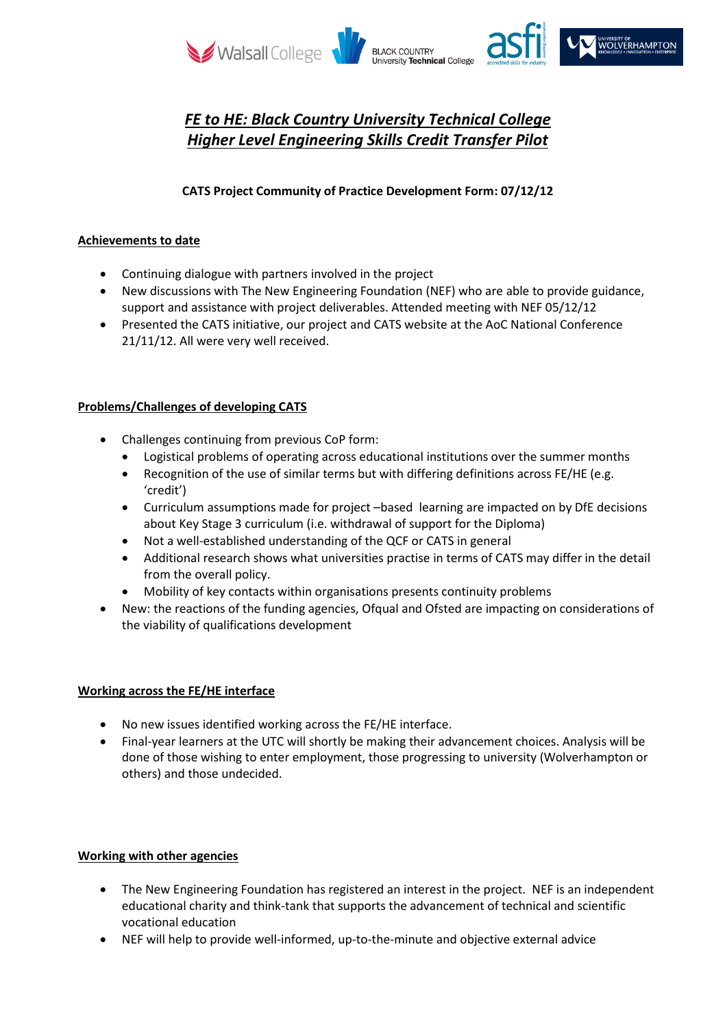

# *FE to HE: Black Country University Technical College Higher Level Engineering Skills Credit Transfer Pilot*

## **CATS Project Community of Practice Development Form: 07/12/12**

#### **Achievements to date**

- Continuing dialogue with partners involved in the project
- New discussions with The New Engineering Foundation (NEF) who are able to provide guidance, support and assistance with project deliverables. Attended meeting with NEF 05/12/12
- Presented the CATS initiative, our project and CATS website at the AoC National Conference 21/11/12. All were very well received.

## **Problems/Challenges of developing CATS**

- Challenges continuing from previous CoP form:
	- Logistical problems of operating across educational institutions over the summer months
	- Recognition of the use of similar terms but with differing definitions across FE/HE (e.g. 'credit')
	- Curriculum assumptions made for project –based learning are impacted on by DfE decisions about Key Stage 3 curriculum (i.e. withdrawal of support for the Diploma)
	- Not a well-established understanding of the QCF or CATS in general
	- Additional research shows what universities practise in terms of CATS may differ in the detail from the overall policy.
	- Mobility of key contacts within organisations presents continuity problems
- New: the reactions of the funding agencies, Ofqual and Ofsted are impacting on considerations of the viability of qualifications development

## **Working across the FE/HE interface**

- No new issues identified working across the FE/HE interface.
- Final-year learners at the UTC will shortly be making their advancement choices. Analysis will be done of those wishing to enter employment, those progressing to university (Wolverhampton or others) and those undecided.

## **Working with other agencies**

- The New Engineering Foundation has registered an interest in the project. NEF is an independent educational charity and think-tank that supports the advancement of technical and scientific vocational education
- NEF will help to provide well-informed, up-to-the-minute and objective external advice